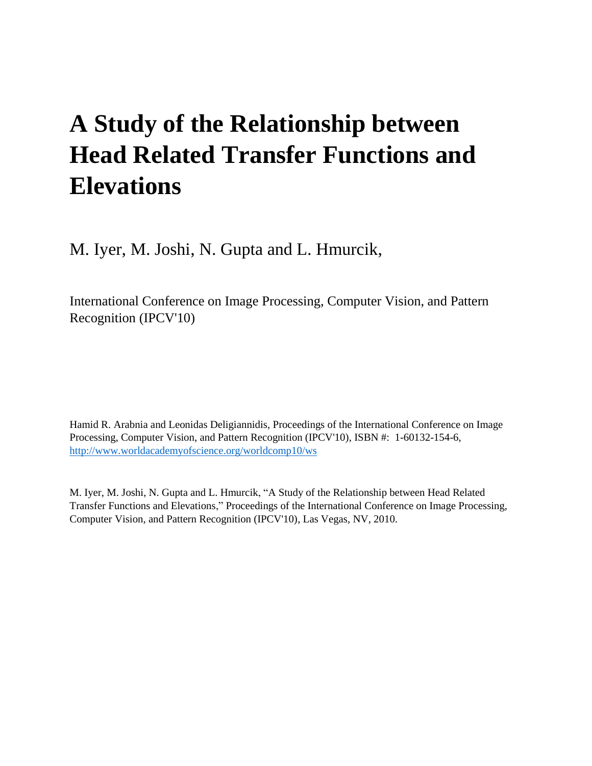# **A Study of the Relationship between Head Related Transfer Functions and Elevations**

M. Iyer, M. Joshi, N. Gupta and L. Hmurcik,

International Conference on Image Processing, Computer Vision, and Pattern Recognition (IPCV'10)

Hamid R. Arabnia and Leonidas Deligiannidis, Proceedings of the International Conference on Image Processing, Computer Vision, and Pattern Recognition (IPCV'10), ISBN #: 1-60132-154-6, <http://www.worldacademyofscience.org/worldcomp10/ws>

M. Iyer, M. Joshi, N. Gupta and L. Hmurcik, "A Study of the Relationship between Head Related Transfer Functions and Elevations," Proceedings of the International Conference on Image Processing, Computer Vision, and Pattern Recognition (IPCV'10), Las Vegas, NV, 2010.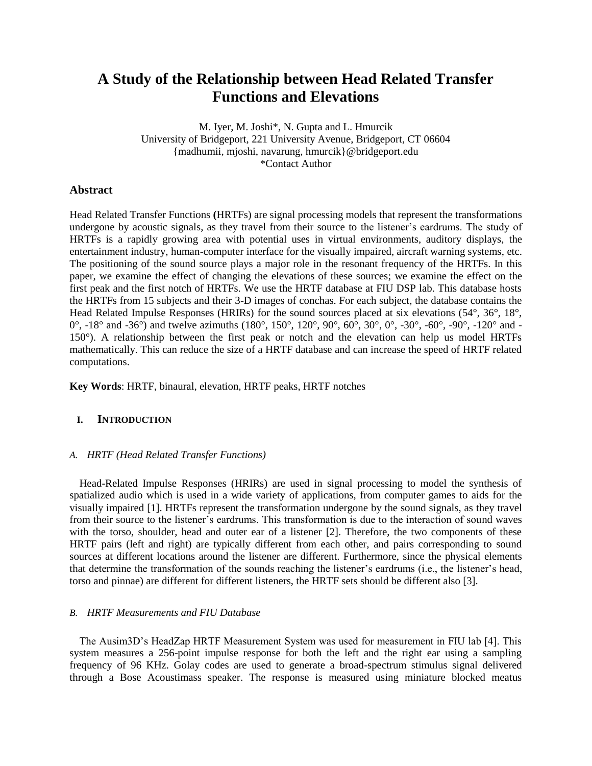# **A Study of the Relationship between Head Related Transfer Functions and Elevations**

M. Iyer, M. Joshi\*, N. Gupta and L. Hmurcik University of Bridgeport, 221 University Avenue, Bridgeport, CT 06604 {madhumii, mjoshi, navarung, hmurcik}@bridgeport.edu \*Contact Author

# **Abstract**

Head Related Transfer Functions **(**HRTFs) are signal processing models that represent the transformations undergone by acoustic signals, as they travel from their source to the listener's eardrums. The study of HRTFs is a rapidly growing area with potential uses in virtual environments, auditory displays, the entertainment industry, human-computer interface for the visually impaired, aircraft warning systems, etc. The positioning of the sound source plays a major role in the resonant frequency of the HRTFs. In this paper, we examine the effect of changing the elevations of these sources; we examine the effect on the first peak and the first notch of HRTFs. We use the HRTF database at FIU DSP lab. This database hosts the HRTFs from 15 subjects and their 3-D images of conchas. For each subject, the database contains the Head Related Impulse Responses (HRIRs) for the sound sources placed at six elevations (54°, 36°, 18°, 0°, -18° and -36°) and twelve azimuths (180°, 150°, 120°, 90°, 60°, 30°, 0°, -30°, -60°, -90°, -120° and -150°). A relationship between the first peak or notch and the elevation can help us model HRTFs mathematically. This can reduce the size of a HRTF database and can increase the speed of HRTF related computations.

**Key Words**: HRTF, binaural, elevation, HRTF peaks, HRTF notches

## **I. INTRODUCTION**

#### *A. HRTF (Head Related Transfer Functions)*

Head-Related Impulse Responses (HRIRs) are used in signal processing to model the synthesis of spatialized audio which is used in a wide variety of applications, from computer games to aids for the visually impaired [1]. HRTFs represent the transformation undergone by the sound signals, as they travel from their source to the listener's eardrums. This transformation is due to the interaction of sound waves with the torso, shoulder, head and outer ear of a listener [2]. Therefore, the two components of these HRTF pairs (left and right) are typically different from each other, and pairs corresponding to sound sources at different locations around the listener are different. Furthermore, since the physical elements that determine the transformation of the sounds reaching the listener's eardrums (i.e., the listener's head, torso and pinnae) are different for different listeners, the HRTF sets should be different also [3].

#### *B. HRTF Measurements and FIU Database*

The Ausim3D's HeadZap HRTF Measurement System was used for measurement in FIU lab [4]. This system measures a 256-point impulse response for both the left and the right ear using a sampling frequency of 96 KHz. Golay codes are used to generate a broad-spectrum stimulus signal delivered through a Bose Acoustimass speaker. The response is measured using miniature blocked meatus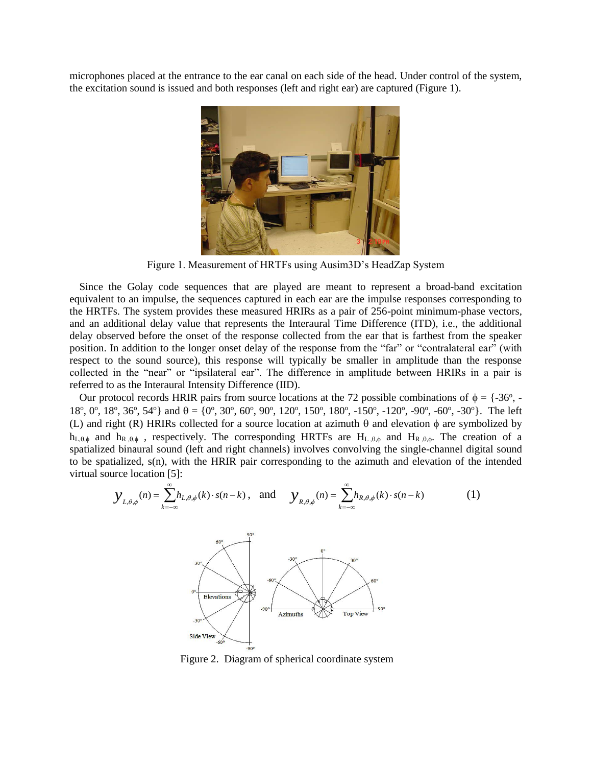microphones placed at the entrance to the ear canal on each side of the head. Under control of the system, the excitation sound is issued and both responses (left and right ear) are captured (Figure 1).



Figure 1. Measurement of HRTFs using Ausim3D's HeadZap System

Since the Golay code sequences that are played are meant to represent a broad-band excitation equivalent to an impulse, the sequences captured in each ear are the impulse responses corresponding to the HRTFs. The system provides these measured HRIRs as a pair of 256-point minimum-phase vectors, and an additional delay value that represents the Interaural Time Difference (ITD), i.e., the additional delay observed before the onset of the response collected from the ear that is farthest from the speaker position. In addition to the longer onset delay of the response from the "far" or "contralateral ear" (with respect to the sound source), this response will typically be smaller in amplitude than the response collected in the "near" or "ipsilateral ear". The difference in amplitude between HRIRs in a pair is referred to as the Interaural Intensity Difference (IID).

Our protocol records HRIR pairs from source locations at the 72 possible combinations of  $\phi = \{-36^{\circ}, -\}$ 18<sup>o</sup>, 0<sup>o</sup>, 18<sup>o</sup>, 36<sup>o</sup>, 54<sup>o</sup>} and  $\theta = \{0^{\circ}, 30^{\circ}, 60^{\circ}, 90^{\circ}, 120^{\circ}, 150^{\circ}, 180^{\circ}, -150^{\circ}, -120^{\circ}, -90^{\circ}, -60^{\circ}, -30^{\circ}\}.$  The left (L) and right (R) HRIRs collected for a source location at azimuth  $\theta$  and elevation  $\phi$  are symbolized by  $h_{L,\theta,\phi}$  and  $h_{R,\theta,\phi}$ , respectively. The corresponding HRTFs are  $H_{L,\theta,\phi}$  and  $H_{R,\theta,\phi}$ . The creation of a spatialized binaural sound (left and right channels) involves convolving the single-channel digital sound to be spatialized, s(n), with the HRIR pair corresponding to the azimuth and elevation of the intended virtual source location [5]:

$$
\mathcal{Y}_{L,\theta,\phi}(n) = \sum_{k=-\infty}^{\infty} h_{L,\theta,\phi}(k) \cdot s(n-k), \text{ and } \mathcal{Y}_{R,\theta,\phi}(n) = \sum_{k=-\infty}^{\infty} h_{R,\theta,\phi}(k) \cdot s(n-k) \tag{1}
$$



Figure 2. Diagram of spherical coordinate system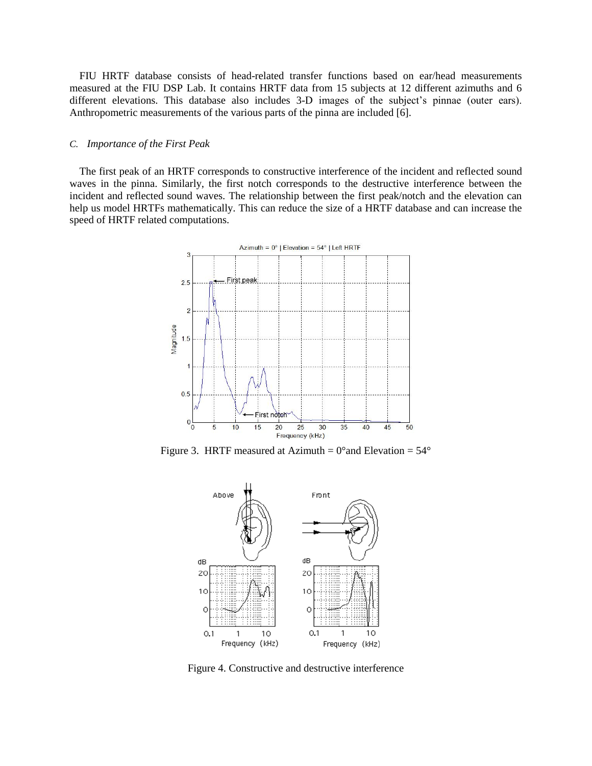FIU HRTF database consists of head-related transfer functions based on ear/head measurements measured at the FIU DSP Lab. It contains HRTF data from 15 subjects at 12 different azimuths and 6 different elevations. This database also includes 3-D images of the subject's pinnae (outer ears). Anthropometric measurements of the various parts of the pinna are included [6].

#### *C. Importance of the First Peak*

The first peak of an HRTF corresponds to constructive interference of the incident and reflected sound waves in the pinna. Similarly, the first notch corresponds to the destructive interference between the incident and reflected sound waves. The relationship between the first peak/notch and the elevation can help us model HRTFs mathematically. This can reduce the size of a HRTF database and can increase the speed of HRTF related computations.



Figure 3. HRTF measured at Azimuth =  $0^{\circ}$  and Elevation =  $54^{\circ}$ 



Figure 4. Constructive and destructive interference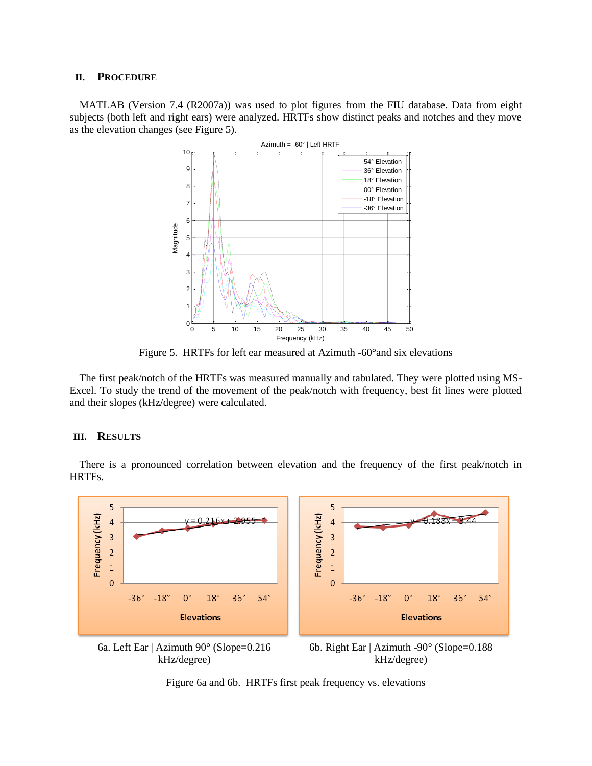#### **II. PROCEDURE**

MATLAB (Version 7.4 (R2007a)) was used to plot figures from the FIU database. Data from eight subjects (both left and right ears) were analyzed. HRTFs show distinct peaks and notches and they move as the elevation changes (see Figure 5).



Figure 5. HRTFs for left ear measured at Azimuth -60°and six elevations

The first peak/notch of the HRTFs was measured manually and tabulated. They were plotted using MS-Excel. To study the trend of the movement of the peak/notch with frequency, best fit lines were plotted and their slopes (kHz/degree) were calculated.

#### **III. RESULTS**

There is a pronounced correlation between elevation and the frequency of the first peak/notch in HRTFs.



Figure 6a and 6b. HRTFs first peak frequency vs. elevations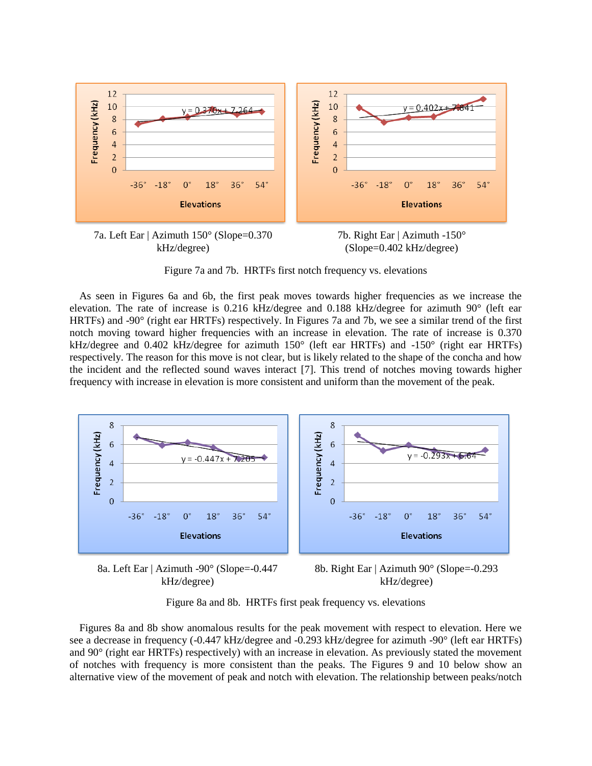



Figure 7a and 7b. HRTFs first notch frequency vs. elevations

As seen in Figures 6a and 6b, the first peak moves towards higher frequencies as we increase the elevation. The rate of increase is 0.216 kHz/degree and 0.188 kHz/degree for azimuth 90° (left ear HRTFs) and -90° (right ear HRTFs) respectively. In Figures 7a and 7b, we see a similar trend of the first notch moving toward higher frequencies with an increase in elevation. The rate of increase is 0.370 kHz/degree and 0.402 kHz/degree for azimuth 150° (left ear HRTFs) and -150° (right ear HRTFs) respectively. The reason for this move is not clear, but is likely related to the shape of the concha and how the incident and the reflected sound waves interact [7]. This trend of notches moving towards higher frequency with increase in elevation is more consistent and uniform than the movement of the peak.



8a. Left Ear | Azimuth -90° (Slope=-0.447 kHz/degree)

8b. Right Ear | Azimuth 90° (Slope=-0.293 kHz/degree)

Figure 8a and 8b. HRTFs first peak frequency vs. elevations

Figures 8a and 8b show anomalous results for the peak movement with respect to elevation. Here we see a decrease in frequency (-0.447 kHz/degree and -0.293 kHz/degree for azimuth -90° (left ear HRTFs) and 90° (right ear HRTFs) respectively) with an increase in elevation. As previously stated the movement of notches with frequency is more consistent than the peaks. The Figures 9 and 10 below show an alternative view of the movement of peak and notch with elevation. The relationship between peaks/notch

<sup>7</sup>b. Right Ear | Azimuth -150° (Slope=0.402 kHz/degree)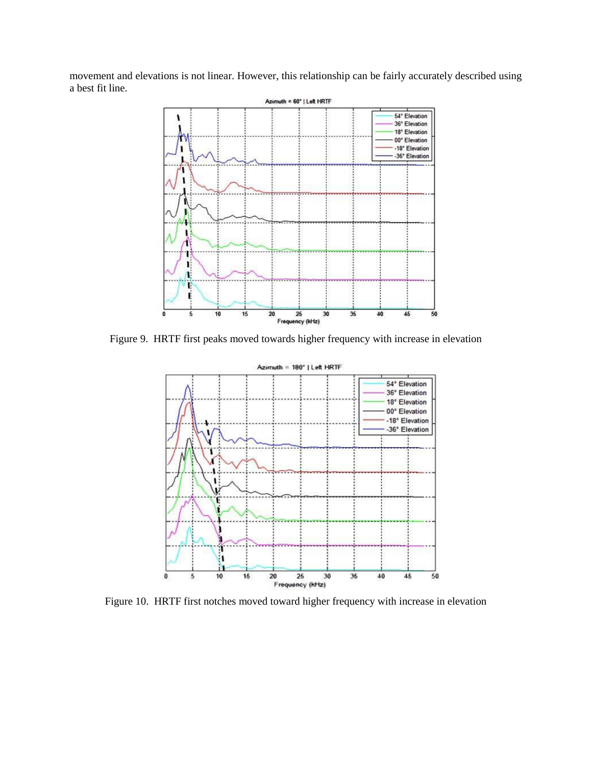movement and elevations is not linear. However, this relationship can be fairly accurately described using a best fit line.



Figure 9. HRTF first peaks moved towards higher frequency with increase in elevation



Figure 10. HRTF first notches moved toward higher frequency with increase in elevation